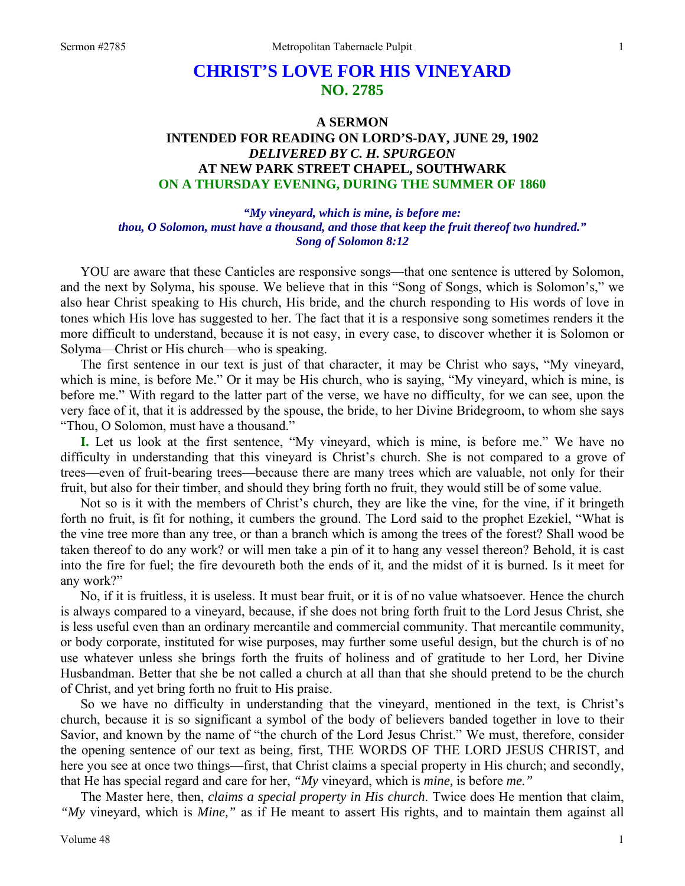## **CHRIST'S LOVE FOR HIS VINEYARD NO. 2785**

## **A SERMON INTENDED FOR READING ON LORD'S-DAY, JUNE 29, 1902**  *DELIVERED BY C. H. SPURGEON*  **AT NEW PARK STREET CHAPEL, SOUTHWARK ON A THURSDAY EVENING, DURING THE SUMMER OF 1860**

*"My vineyard, which is mine, is before me: thou, O Solomon, must have a thousand, and those that keep the fruit thereof two hundred." Song of Solomon 8:12* 

YOU are aware that these Canticles are responsive songs—that one sentence is uttered by Solomon, and the next by Solyma, his spouse. We believe that in this "Song of Songs, which is Solomon's," we also hear Christ speaking to His church, His bride, and the church responding to His words of love in tones which His love has suggested to her. The fact that it is a responsive song sometimes renders it the more difficult to understand, because it is not easy, in every case, to discover whether it is Solomon or Solyma—Christ or His church—who is speaking.

The first sentence in our text is just of that character, it may be Christ who says, "My vineyard, which is mine, is before Me." Or it may be His church, who is saying, "My vineyard, which is mine, is before me." With regard to the latter part of the verse, we have no difficulty, for we can see, upon the very face of it, that it is addressed by the spouse, the bride, to her Divine Bridegroom, to whom she says "Thou, O Solomon, must have a thousand."

**I.** Let us look at the first sentence, "My vineyard, which is mine, is before me." We have no difficulty in understanding that this vineyard is Christ's church. She is not compared to a grove of trees—even of fruit-bearing trees—because there are many trees which are valuable, not only for their fruit, but also for their timber, and should they bring forth no fruit, they would still be of some value.

Not so is it with the members of Christ's church, they are like the vine, for the vine, if it bringeth forth no fruit, is fit for nothing, it cumbers the ground. The Lord said to the prophet Ezekiel, "What is the vine tree more than any tree, or than a branch which is among the trees of the forest? Shall wood be taken thereof to do any work? or will men take a pin of it to hang any vessel thereon? Behold, it is cast into the fire for fuel; the fire devoureth both the ends of it, and the midst of it is burned. Is it meet for any work?"

No, if it is fruitless, it is useless. It must bear fruit, or it is of no value whatsoever. Hence the church is always compared to a vineyard, because, if she does not bring forth fruit to the Lord Jesus Christ, she is less useful even than an ordinary mercantile and commercial community. That mercantile community, or body corporate, instituted for wise purposes, may further some useful design, but the church is of no use whatever unless she brings forth the fruits of holiness and of gratitude to her Lord, her Divine Husbandman. Better that she be not called a church at all than that she should pretend to be the church of Christ, and yet bring forth no fruit to His praise.

So we have no difficulty in understanding that the vineyard, mentioned in the text, is Christ's church, because it is so significant a symbol of the body of believers banded together in love to their Savior, and known by the name of "the church of the Lord Jesus Christ." We must, therefore, consider the opening sentence of our text as being, first, THE WORDS OF THE LORD JESUS CHRIST, and here you see at once two things—first, that Christ claims a special property in His church; and secondly, that He has special regard and care for her, *"My* vineyard, which is *mine,* is before *me."*

The Master here, then, *claims a special property in His church*. Twice does He mention that claim, *"My* vineyard, which is *Mine,"* as if He meant to assert His rights, and to maintain them against all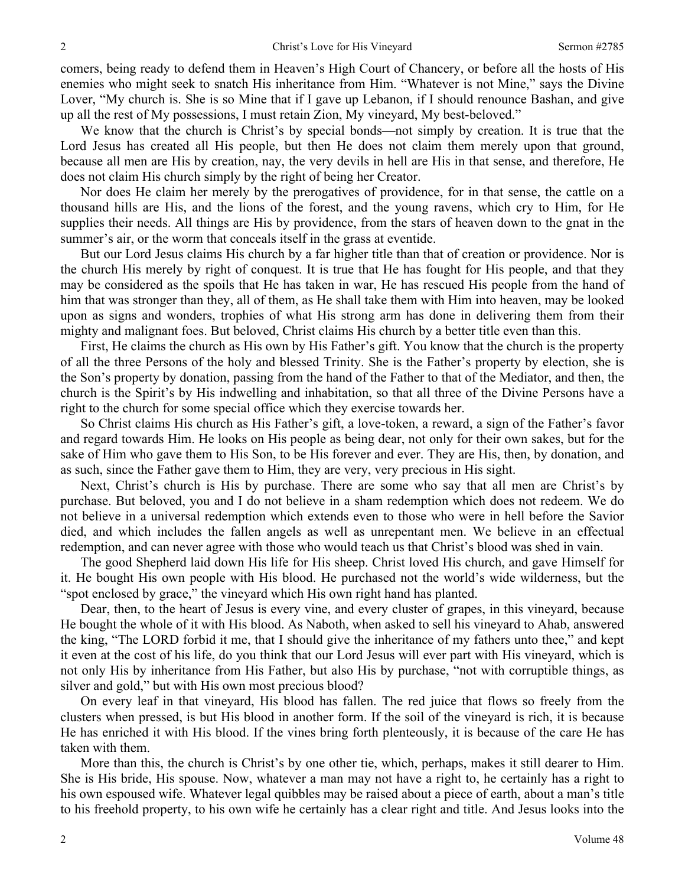comers, being ready to defend them in Heaven's High Court of Chancery, or before all the hosts of His enemies who might seek to snatch His inheritance from Him. "Whatever is not Mine," says the Divine Lover, "My church is. She is so Mine that if I gave up Lebanon, if I should renounce Bashan, and give up all the rest of My possessions, I must retain Zion, My vineyard, My best-beloved."

We know that the church is Christ's by special bonds—not simply by creation. It is true that the Lord Jesus has created all His people, but then He does not claim them merely upon that ground, because all men are His by creation, nay, the very devils in hell are His in that sense, and therefore, He does not claim His church simply by the right of being her Creator.

Nor does He claim her merely by the prerogatives of providence, for in that sense, the cattle on a thousand hills are His, and the lions of the forest, and the young ravens, which cry to Him, for He supplies their needs. All things are His by providence, from the stars of heaven down to the gnat in the summer's air, or the worm that conceals itself in the grass at eventide.

But our Lord Jesus claims His church by a far higher title than that of creation or providence. Nor is the church His merely by right of conquest. It is true that He has fought for His people, and that they may be considered as the spoils that He has taken in war, He has rescued His people from the hand of him that was stronger than they, all of them, as He shall take them with Him into heaven, may be looked upon as signs and wonders, trophies of what His strong arm has done in delivering them from their mighty and malignant foes. But beloved, Christ claims His church by a better title even than this.

First, He claims the church as His own by His Father's gift. You know that the church is the property of all the three Persons of the holy and blessed Trinity. She is the Father's property by election, she is the Son's property by donation, passing from the hand of the Father to that of the Mediator, and then, the church is the Spirit's by His indwelling and inhabitation, so that all three of the Divine Persons have a right to the church for some special office which they exercise towards her.

So Christ claims His church as His Father's gift, a love-token, a reward, a sign of the Father's favor and regard towards Him. He looks on His people as being dear, not only for their own sakes, but for the sake of Him who gave them to His Son, to be His forever and ever. They are His, then, by donation, and as such, since the Father gave them to Him, they are very, very precious in His sight.

Next, Christ's church is His by purchase. There are some who say that all men are Christ's by purchase. But beloved, you and I do not believe in a sham redemption which does not redeem. We do not believe in a universal redemption which extends even to those who were in hell before the Savior died, and which includes the fallen angels as well as unrepentant men. We believe in an effectual redemption, and can never agree with those who would teach us that Christ's blood was shed in vain.

The good Shepherd laid down His life for His sheep. Christ loved His church, and gave Himself for it. He bought His own people with His blood. He purchased not the world's wide wilderness, but the "spot enclosed by grace," the vineyard which His own right hand has planted.

Dear, then, to the heart of Jesus is every vine, and every cluster of grapes, in this vineyard, because He bought the whole of it with His blood. As Naboth, when asked to sell his vineyard to Ahab, answered the king, "The LORD forbid it me, that I should give the inheritance of my fathers unto thee," and kept it even at the cost of his life, do you think that our Lord Jesus will ever part with His vineyard, which is not only His by inheritance from His Father, but also His by purchase, "not with corruptible things, as silver and gold," but with His own most precious blood?

On every leaf in that vineyard, His blood has fallen. The red juice that flows so freely from the clusters when pressed, is but His blood in another form. If the soil of the vineyard is rich, it is because He has enriched it with His blood. If the vines bring forth plenteously, it is because of the care He has taken with them.

More than this, the church is Christ's by one other tie, which, perhaps, makes it still dearer to Him. She is His bride, His spouse. Now, whatever a man may not have a right to, he certainly has a right to his own espoused wife. Whatever legal quibbles may be raised about a piece of earth, about a man's title to his freehold property, to his own wife he certainly has a clear right and title. And Jesus looks into the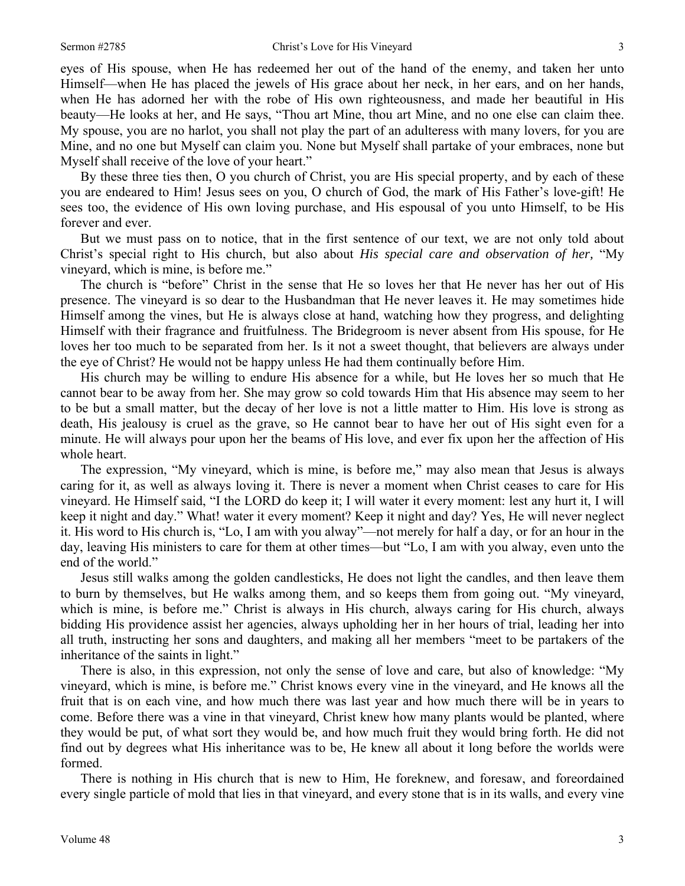eyes of His spouse, when He has redeemed her out of the hand of the enemy, and taken her unto Himself—when He has placed the jewels of His grace about her neck, in her ears, and on her hands, when He has adorned her with the robe of His own righteousness, and made her beautiful in His beauty—He looks at her, and He says, "Thou art Mine, thou art Mine, and no one else can claim thee. My spouse, you are no harlot, you shall not play the part of an adulteress with many lovers, for you are Mine, and no one but Myself can claim you. None but Myself shall partake of your embraces, none but Myself shall receive of the love of your heart."

By these three ties then, O you church of Christ, you are His special property, and by each of these you are endeared to Him! Jesus sees on you, O church of God, the mark of His Father's love-gift! He sees too, the evidence of His own loving purchase, and His espousal of you unto Himself, to be His forever and ever.

But we must pass on to notice, that in the first sentence of our text, we are not only told about Christ's special right to His church, but also about *His special care and observation of her,* "My vineyard, which is mine, is before me."

The church is "before" Christ in the sense that He so loves her that He never has her out of His presence. The vineyard is so dear to the Husbandman that He never leaves it. He may sometimes hide Himself among the vines, but He is always close at hand, watching how they progress, and delighting Himself with their fragrance and fruitfulness. The Bridegroom is never absent from His spouse, for He loves her too much to be separated from her. Is it not a sweet thought, that believers are always under the eye of Christ? He would not be happy unless He had them continually before Him.

His church may be willing to endure His absence for a while, but He loves her so much that He cannot bear to be away from her. She may grow so cold towards Him that His absence may seem to her to be but a small matter, but the decay of her love is not a little matter to Him. His love is strong as death, His jealousy is cruel as the grave, so He cannot bear to have her out of His sight even for a minute. He will always pour upon her the beams of His love, and ever fix upon her the affection of His whole heart.

The expression, "My vineyard, which is mine, is before me," may also mean that Jesus is always caring for it, as well as always loving it. There is never a moment when Christ ceases to care for His vineyard. He Himself said, "I the LORD do keep it; I will water it every moment: lest any hurt it, I will keep it night and day." What! water it every moment? Keep it night and day? Yes, He will never neglect it. His word to His church is, "Lo, I am with you alway"—not merely for half a day, or for an hour in the day, leaving His ministers to care for them at other times—but "Lo, I am with you alway, even unto the end of the world."

Jesus still walks among the golden candlesticks, He does not light the candles, and then leave them to burn by themselves, but He walks among them, and so keeps them from going out. "My vineyard, which is mine, is before me." Christ is always in His church, always caring for His church, always bidding His providence assist her agencies, always upholding her in her hours of trial, leading her into all truth, instructing her sons and daughters, and making all her members "meet to be partakers of the inheritance of the saints in light."

There is also, in this expression, not only the sense of love and care, but also of knowledge: "My vineyard, which is mine, is before me." Christ knows every vine in the vineyard, and He knows all the fruit that is on each vine, and how much there was last year and how much there will be in years to come. Before there was a vine in that vineyard, Christ knew how many plants would be planted, where they would be put, of what sort they would be, and how much fruit they would bring forth. He did not find out by degrees what His inheritance was to be, He knew all about it long before the worlds were formed.

There is nothing in His church that is new to Him, He foreknew, and foresaw, and foreordained every single particle of mold that lies in that vineyard, and every stone that is in its walls, and every vine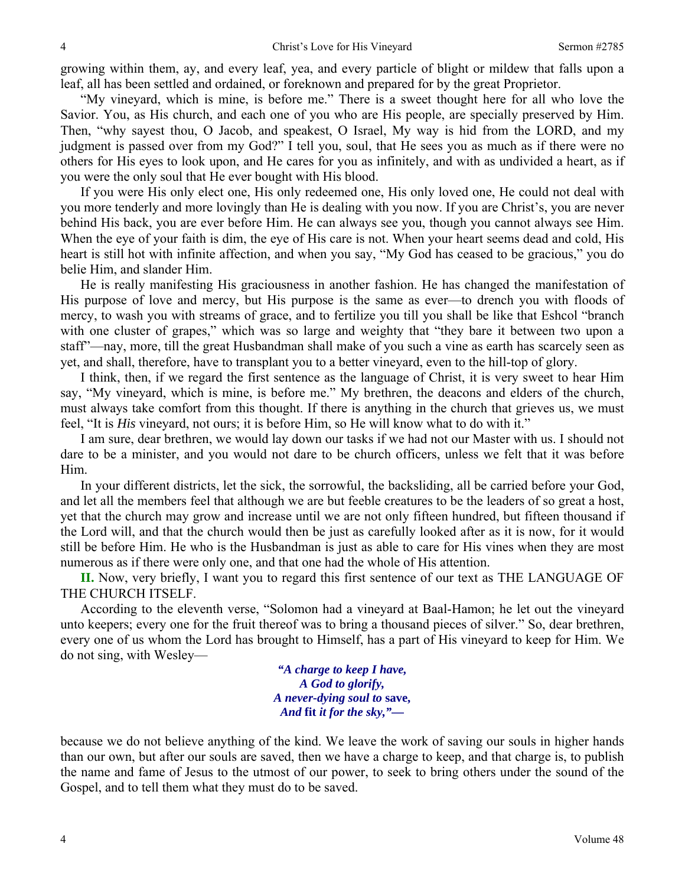growing within them, ay, and every leaf, yea, and every particle of blight or mildew that falls upon a leaf, all has been settled and ordained, or foreknown and prepared for by the great Proprietor.

"My vineyard, which is mine, is before me." There is a sweet thought here for all who love the Savior. You, as His church, and each one of you who are His people, are specially preserved by Him. Then, "why sayest thou, O Jacob, and speakest, O Israel, My way is hid from the LORD, and my judgment is passed over from my God?" I tell you, soul, that He sees you as much as if there were no others for His eyes to look upon, and He cares for you as infinitely, and with as undivided a heart, as if you were the only soul that He ever bought with His blood.

If you were His only elect one, His only redeemed one, His only loved one, He could not deal with you more tenderly and more lovingly than He is dealing with you now. If you are Christ's, you are never behind His back, you are ever before Him. He can always see you, though you cannot always see Him. When the eye of your faith is dim, the eye of His care is not. When your heart seems dead and cold, His heart is still hot with infinite affection, and when you say, "My God has ceased to be gracious," you do belie Him, and slander Him.

He is really manifesting His graciousness in another fashion. He has changed the manifestation of His purpose of love and mercy, but His purpose is the same as ever—to drench you with floods of mercy, to wash you with streams of grace, and to fertilize you till you shall be like that Eshcol "branch with one cluster of grapes," which was so large and weighty that "they bare it between two upon a staff"—nay, more, till the great Husbandman shall make of you such a vine as earth has scarcely seen as yet, and shall, therefore, have to transplant you to a better vineyard, even to the hill-top of glory.

I think, then, if we regard the first sentence as the language of Christ, it is very sweet to hear Him say, "My vineyard, which is mine, is before me." My brethren, the deacons and elders of the church, must always take comfort from this thought. If there is anything in the church that grieves us, we must feel, "It is *His* vineyard, not ours; it is before Him, so He will know what to do with it."

I am sure, dear brethren, we would lay down our tasks if we had not our Master with us. I should not dare to be a minister, and you would not dare to be church officers, unless we felt that it was before Him.

In your different districts, let the sick, the sorrowful, the backsliding, all be carried before your God, and let all the members feel that although we are but feeble creatures to be the leaders of so great a host, yet that the church may grow and increase until we are not only fifteen hundred, but fifteen thousand if the Lord will, and that the church would then be just as carefully looked after as it is now, for it would still be before Him. He who is the Husbandman is just as able to care for His vines when they are most numerous as if there were only one, and that one had the whole of His attention.

**II.** Now, very briefly, I want you to regard this first sentence of our text as THE LANGUAGE OF THE CHURCH ITSELF.

According to the eleventh verse, "Solomon had a vineyard at Baal-Hamon; he let out the vineyard unto keepers; every one for the fruit thereof was to bring a thousand pieces of silver." So, dear brethren, every one of us whom the Lord has brought to Himself, has a part of His vineyard to keep for Him. We do not sing, with Wesley—

> *"A charge to keep I have, A God to glorify, A never-dying soul to* **save,** *And* **fit** *it for the sky,"—*

because we do not believe anything of the kind. We leave the work of saving our souls in higher hands than our own, but after our souls are saved, then we have a charge to keep, and that charge is, to publish the name and fame of Jesus to the utmost of our power, to seek to bring others under the sound of the Gospel, and to tell them what they must do to be saved.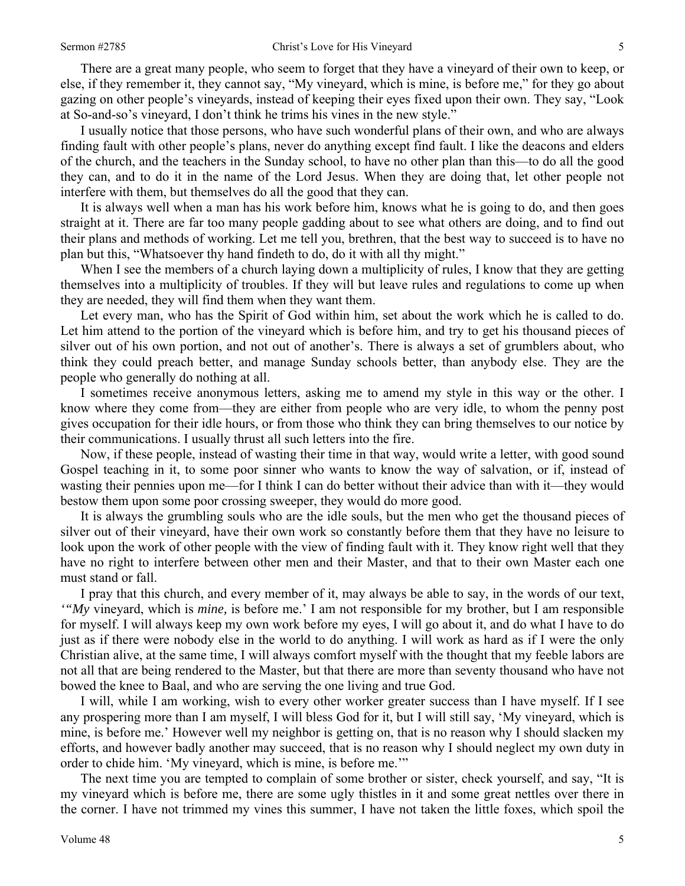There are a great many people, who seem to forget that they have a vineyard of their own to keep, or else, if they remember it, they cannot say, "My vineyard, which is mine, is before me," for they go about gazing on other people's vineyards, instead of keeping their eyes fixed upon their own. They say, "Look at So-and-so's vineyard, I don't think he trims his vines in the new style."

I usually notice that those persons, who have such wonderful plans of their own, and who are always finding fault with other people's plans, never do anything except find fault. I like the deacons and elders of the church, and the teachers in the Sunday school, to have no other plan than this—to do all the good they can, and to do it in the name of the Lord Jesus. When they are doing that, let other people not interfere with them, but themselves do all the good that they can.

It is always well when a man has his work before him, knows what he is going to do, and then goes straight at it. There are far too many people gadding about to see what others are doing, and to find out their plans and methods of working. Let me tell you, brethren, that the best way to succeed is to have no plan but this, "Whatsoever thy hand findeth to do, do it with all thy might."

When I see the members of a church laying down a multiplicity of rules, I know that they are getting themselves into a multiplicity of troubles. If they will but leave rules and regulations to come up when they are needed, they will find them when they want them.

Let every man, who has the Spirit of God within him, set about the work which he is called to do. Let him attend to the portion of the vineyard which is before him, and try to get his thousand pieces of silver out of his own portion, and not out of another's. There is always a set of grumblers about, who think they could preach better, and manage Sunday schools better, than anybody else. They are the people who generally do nothing at all.

I sometimes receive anonymous letters, asking me to amend my style in this way or the other. I know where they come from—they are either from people who are very idle, to whom the penny post gives occupation for their idle hours, or from those who think they can bring themselves to our notice by their communications. I usually thrust all such letters into the fire.

Now, if these people, instead of wasting their time in that way, would write a letter, with good sound Gospel teaching in it, to some poor sinner who wants to know the way of salvation, or if, instead of wasting their pennies upon me—for I think I can do better without their advice than with it—they would bestow them upon some poor crossing sweeper, they would do more good.

It is always the grumbling souls who are the idle souls, but the men who get the thousand pieces of silver out of their vineyard, have their own work so constantly before them that they have no leisure to look upon the work of other people with the view of finding fault with it. They know right well that they have no right to interfere between other men and their Master, and that to their own Master each one must stand or fall.

I pray that this church, and every member of it, may always be able to say, in the words of our text, *'"My* vineyard, which is *mine,* is before me.' I am not responsible for my brother, but I am responsible for myself. I will always keep my own work before my eyes, I will go about it, and do what I have to do just as if there were nobody else in the world to do anything. I will work as hard as if I were the only Christian alive, at the same time, I will always comfort myself with the thought that my feeble labors are not all that are being rendered to the Master, but that there are more than seventy thousand who have not bowed the knee to Baal, and who are serving the one living and true God.

I will, while I am working, wish to every other worker greater success than I have myself. If I see any prospering more than I am myself, I will bless God for it, but I will still say, 'My vineyard, which is mine, is before me.' However well my neighbor is getting on, that is no reason why I should slacken my efforts, and however badly another may succeed, that is no reason why I should neglect my own duty in order to chide him. 'My vineyard, which is mine, is before me.'"

The next time you are tempted to complain of some brother or sister, check yourself, and say, "It is my vineyard which is before me, there are some ugly thistles in it and some great nettles over there in the corner. I have not trimmed my vines this summer, I have not taken the little foxes, which spoil the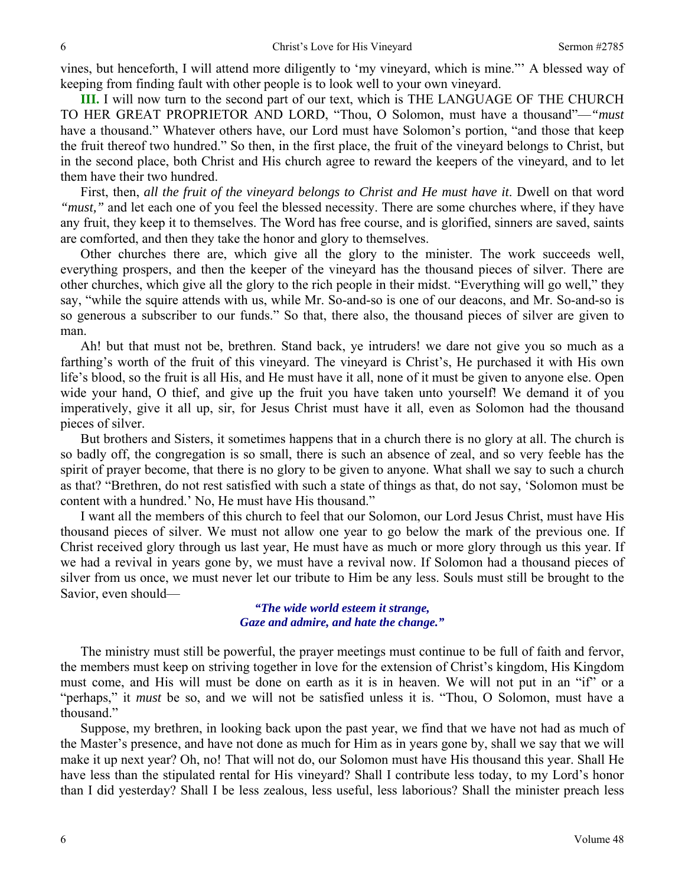vines, but henceforth, I will attend more diligently to 'my vineyard, which is mine."' A blessed way of keeping from finding fault with other people is to look well to your own vineyard.

**III.** I will now turn to the second part of our text, which is THE LANGUAGE OF THE CHURCH TO HER GREAT PROPRIETOR AND LORD, "Thou, O Solomon, must have a thousand"—*"must* have a thousand." Whatever others have, our Lord must have Solomon's portion, "and those that keep the fruit thereof two hundred." So then, in the first place, the fruit of the vineyard belongs to Christ, but in the second place, both Christ and His church agree to reward the keepers of the vineyard, and to let them have their two hundred.

First, then, *all the fruit of the vineyard belongs to Christ and He must have it*. Dwell on that word *"must,"* and let each one of you feel the blessed necessity. There are some churches where, if they have any fruit, they keep it to themselves. The Word has free course, and is glorified, sinners are saved, saints are comforted, and then they take the honor and glory to themselves.

Other churches there are, which give all the glory to the minister. The work succeeds well, everything prospers, and then the keeper of the vineyard has the thousand pieces of silver. There are other churches, which give all the glory to the rich people in their midst. "Everything will go well," they say, "while the squire attends with us, while Mr. So-and-so is one of our deacons, and Mr. So-and-so is so generous a subscriber to our funds." So that, there also, the thousand pieces of silver are given to man.

Ah! but that must not be, brethren. Stand back, ye intruders! we dare not give you so much as a farthing's worth of the fruit of this vineyard. The vineyard is Christ's, He purchased it with His own life's blood, so the fruit is all His, and He must have it all, none of it must be given to anyone else. Open wide your hand, O thief, and give up the fruit you have taken unto yourself! We demand it of you imperatively, give it all up, sir, for Jesus Christ must have it all, even as Solomon had the thousand pieces of silver.

But brothers and Sisters, it sometimes happens that in a church there is no glory at all. The church is so badly off, the congregation is so small, there is such an absence of zeal, and so very feeble has the spirit of prayer become, that there is no glory to be given to anyone. What shall we say to such a church as that? "Brethren, do not rest satisfied with such a state of things as that, do not say, 'Solomon must be content with a hundred.' No, He must have His thousand."

I want all the members of this church to feel that our Solomon, our Lord Jesus Christ, must have His thousand pieces of silver. We must not allow one year to go below the mark of the previous one. If Christ received glory through us last year, He must have as much or more glory through us this year. If we had a revival in years gone by, we must have a revival now. If Solomon had a thousand pieces of silver from us once, we must never let our tribute to Him be any less. Souls must still be brought to the Savior, even should—

> *"The wide world esteem it strange, Gaze and admire, and hate the change."*

The ministry must still be powerful, the prayer meetings must continue to be full of faith and fervor, the members must keep on striving together in love for the extension of Christ's kingdom, His Kingdom must come, and His will must be done on earth as it is in heaven. We will not put in an "if" or a "perhaps," it *must* be so, and we will not be satisfied unless it is. "Thou, O Solomon, must have a thousand."

Suppose, my brethren, in looking back upon the past year, we find that we have not had as much of the Master's presence, and have not done as much for Him as in years gone by, shall we say that we will make it up next year? Oh, no! That will not do, our Solomon must have His thousand this year. Shall He have less than the stipulated rental for His vineyard? Shall I contribute less today, to my Lord's honor than I did yesterday? Shall I be less zealous, less useful, less laborious? Shall the minister preach less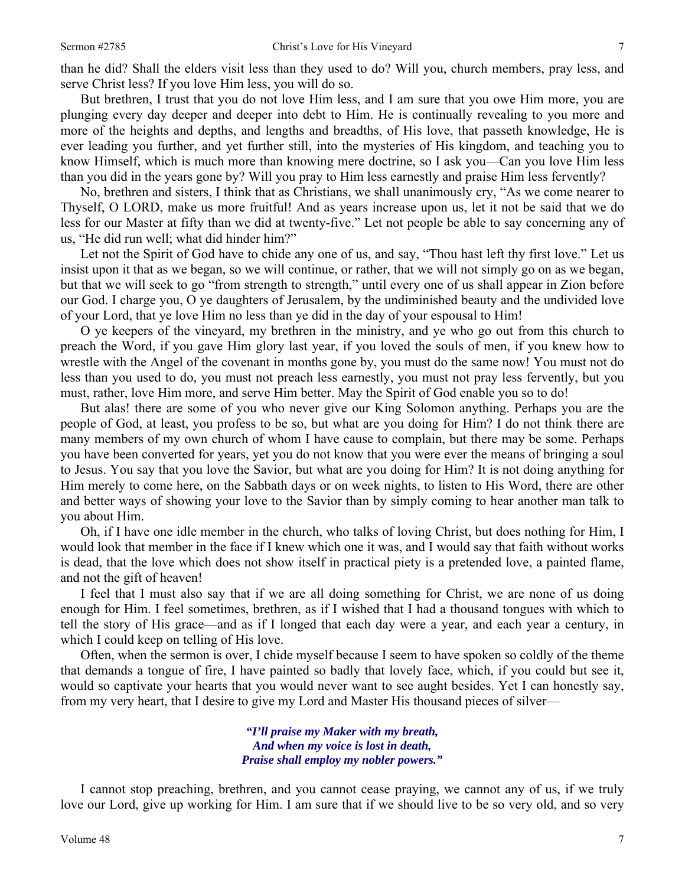than he did? Shall the elders visit less than they used to do? Will you, church members, pray less, and serve Christ less? If you love Him less, you will do so.

But brethren, I trust that you do not love Him less, and I am sure that you owe Him more, you are plunging every day deeper and deeper into debt to Him. He is continually revealing to you more and more of the heights and depths, and lengths and breadths, of His love, that passeth knowledge, He is ever leading you further, and yet further still, into the mysteries of His kingdom, and teaching you to know Himself, which is much more than knowing mere doctrine, so I ask you—Can you love Him less than you did in the years gone by? Will you pray to Him less earnestly and praise Him less fervently?

No, brethren and sisters, I think that as Christians, we shall unanimously cry, "As we come nearer to Thyself, O LORD, make us more fruitful! And as years increase upon us, let it not be said that we do less for our Master at fifty than we did at twenty-five." Let not people be able to say concerning any of us, "He did run well; what did hinder him?"

Let not the Spirit of God have to chide any one of us, and say, "Thou hast left thy first love." Let us insist upon it that as we began, so we will continue, or rather, that we will not simply go on as we began, but that we will seek to go "from strength to strength," until every one of us shall appear in Zion before our God. I charge you, O ye daughters of Jerusalem, by the undiminished beauty and the undivided love of your Lord, that ye love Him no less than ye did in the day of your espousal to Him!

O ye keepers of the vineyard, my brethren in the ministry, and ye who go out from this church to preach the Word, if you gave Him glory last year, if you loved the souls of men, if you knew how to wrestle with the Angel of the covenant in months gone by, you must do the same now! You must not do less than you used to do, you must not preach less earnestly, you must not pray less fervently, but you must, rather, love Him more, and serve Him better. May the Spirit of God enable you so to do!

But alas! there are some of you who never give our King Solomon anything. Perhaps you are the people of God, at least, you profess to be so, but what are you doing for Him? I do not think there are many members of my own church of whom I have cause to complain, but there may be some. Perhaps you have been converted for years, yet you do not know that you were ever the means of bringing a soul to Jesus. You say that you love the Savior, but what are you doing for Him? It is not doing anything for Him merely to come here, on the Sabbath days or on week nights, to listen to His Word, there are other and better ways of showing your love to the Savior than by simply coming to hear another man talk to you about Him.

Oh, if I have one idle member in the church, who talks of loving Christ, but does nothing for Him, I would look that member in the face if I knew which one it was, and I would say that faith without works is dead, that the love which does not show itself in practical piety is a pretended love, a painted flame, and not the gift of heaven!

I feel that I must also say that if we are all doing something for Christ, we are none of us doing enough for Him. I feel sometimes, brethren, as if I wished that I had a thousand tongues with which to tell the story of His grace—and as if I longed that each day were a year, and each year a century, in which I could keep on telling of His love.

Often, when the sermon is over, I chide myself because I seem to have spoken so coldly of the theme that demands a tongue of fire, I have painted so badly that lovely face, which, if you could but see it, would so captivate your hearts that you would never want to see aught besides. Yet I can honestly say, from my very heart, that I desire to give my Lord and Master His thousand pieces of silver—

> *"I'll praise my Maker with my breath, And when my voice is lost in death, Praise shall employ my nobler powers."*

I cannot stop preaching, brethren, and you cannot cease praying, we cannot any of us, if we truly love our Lord, give up working for Him. I am sure that if we should live to be so very old, and so very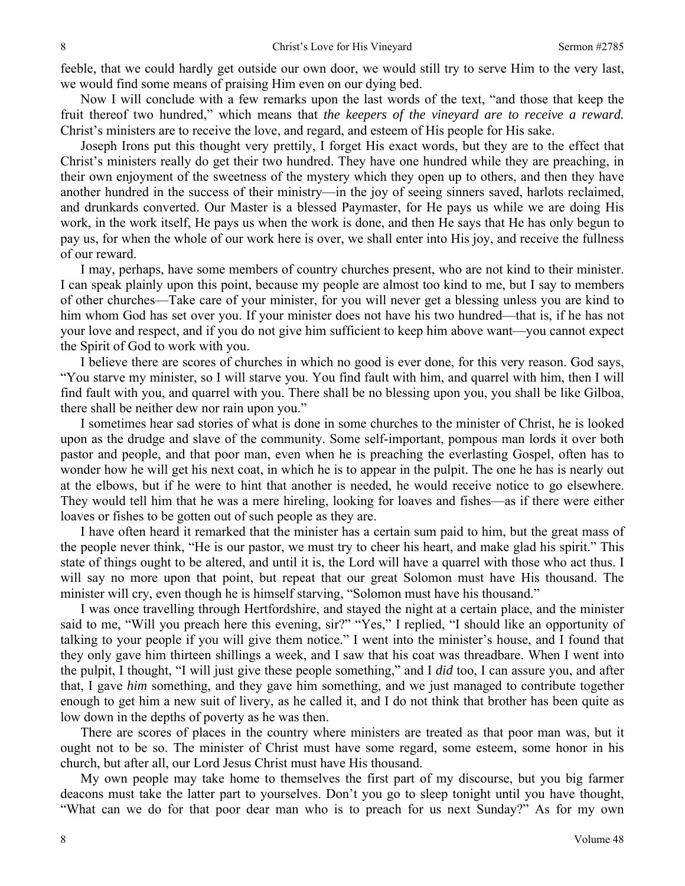feeble, that we could hardly get outside our own door, we would still try to serve Him to the very last, we would find some means of praising Him even on our dying bed.

Now I will conclude with a few remarks upon the last words of the text, "and those that keep the fruit thereof two hundred," which means that *the keepers of the vineyard are to receive a reward.* Christ's ministers are to receive the love, and regard, and esteem of His people for His sake.

Joseph Irons put this thought very prettily, I forget His exact words, but they are to the effect that Christ's ministers really do get their two hundred. They have one hundred while they are preaching, in their own enjoyment of the sweetness of the mystery which they open up to others, and then they have another hundred in the success of their ministry—in the joy of seeing sinners saved, harlots reclaimed, and drunkards converted. Our Master is a blessed Paymaster, for He pays us while we are doing His work, in the work itself, He pays us when the work is done, and then He says that He has only begun to pay us, for when the whole of our work here is over, we shall enter into His joy, and receive the fullness of our reward.

I may, perhaps, have some members of country churches present, who are not kind to their minister. I can speak plainly upon this point, because my people are almost too kind to me, but I say to members of other churches—Take care of your minister, for you will never get a blessing unless you are kind to him whom God has set over you. If your minister does not have his two hundred—that is, if he has not your love and respect, and if you do not give him sufficient to keep him above want—you cannot expect the Spirit of God to work with you.

I believe there are scores of churches in which no good is ever done, for this very reason. God says, "You starve my minister, so I will starve you. You find fault with him, and quarrel with him, then I will find fault with you, and quarrel with you. There shall be no blessing upon you, you shall be like Gilboa, there shall be neither dew nor rain upon you."

I sometimes hear sad stories of what is done in some churches to the minister of Christ, he is looked upon as the drudge and slave of the community. Some self-important, pompous man lords it over both pastor and people, and that poor man, even when he is preaching the everlasting Gospel, often has to wonder how he will get his next coat, in which he is to appear in the pulpit. The one he has is nearly out at the elbows, but if he were to hint that another is needed, he would receive notice to go elsewhere. They would tell him that he was a mere hireling, looking for loaves and fishes—as if there were either loaves or fishes to be gotten out of such people as they are.

I have often heard it remarked that the minister has a certain sum paid to him, but the great mass of the people never think, "He is our pastor, we must try to cheer his heart, and make glad his spirit." This state of things ought to be altered, and until it is, the Lord will have a quarrel with those who act thus. I will say no more upon that point, but repeat that our great Solomon must have His thousand. The minister will cry, even though he is himself starving, "Solomon must have his thousand."

I was once travelling through Hertfordshire, and stayed the night at a certain place, and the minister said to me, "Will you preach here this evening, sir?" "Yes," I replied, "I should like an opportunity of talking to your people if you will give them notice." I went into the minister's house, and I found that they only gave him thirteen shillings a week, and I saw that his coat was threadbare. When I went into the pulpit, I thought, "I will just give these people something," and I *did* too, I can assure you, and after that, I gave *him* something, and they gave him something, and we just managed to contribute together enough to get him a new suit of livery, as he called it, and I do not think that brother has been quite as low down in the depths of poverty as he was then.

There are scores of places in the country where ministers are treated as that poor man was, but it ought not to be so. The minister of Christ must have some regard, some esteem, some honor in his church, but after all, our Lord Jesus Christ must have His thousand.

My own people may take home to themselves the first part of my discourse, but you big farmer deacons must take the latter part to yourselves. Don't you go to sleep tonight until you have thought, "What can we do for that poor dear man who is to preach for us next Sunday?" As for my own